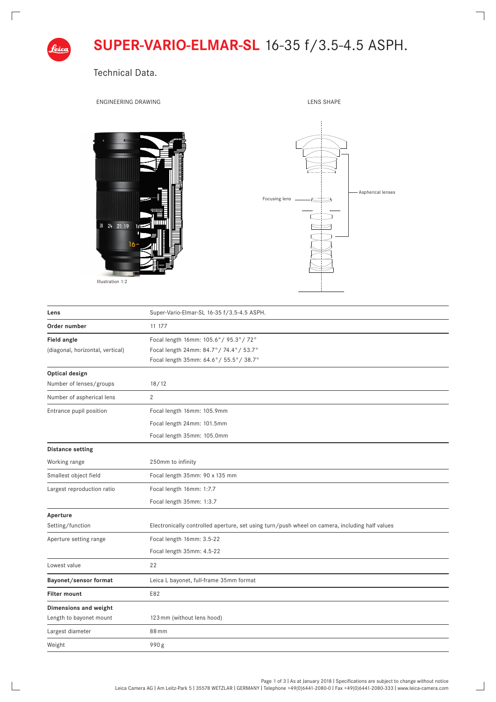

Technical Data.

 $\Box$ 

 $\mathbb{R}$ 

ENGINEERING DRAWING **LENS SHAPE** 

 $\overline{\phantom{0}}$ 

 $\overline{\phantom{0}}$ 







| Lens                             | Super-Vario-Elmar-SL 16-35 f/3.5-4.5 ASPH.                                                     |
|----------------------------------|------------------------------------------------------------------------------------------------|
| Order number                     | 11 177                                                                                         |
| Field angle                      | Focal length 16mm: 105.6°/ 95.3°/ 72°                                                          |
| (diagonal, horizontal, vertical) | Focal length 24mm: 84.7°/74.4°/53.7°                                                           |
|                                  | Focal length 35mm: 64.6°/ 55.5°/ 38.7°                                                         |
| Optical design                   |                                                                                                |
| Number of lenses/groups          | 18/12                                                                                          |
| Number of aspherical lens        | $\overline{2}$                                                                                 |
| Entrance pupil position          | Focal length 16mm: 105.9mm                                                                     |
|                                  | Focal length 24mm: 101.5mm                                                                     |
|                                  | Focal length 35mm: 105.0mm                                                                     |
| <b>Distance setting</b>          |                                                                                                |
| Working range                    | 250mm to infinity                                                                              |
| Smallest object field            | Focal length 35mm: 90 x 135 mm                                                                 |
| Largest reproduction ratio       | Focal length 16mm: 1:7.7                                                                       |
|                                  | Focal length 35mm: 1:3.7                                                                       |
| Aperture                         |                                                                                                |
| Setting/function                 | Electronically controlled aperture, set using turn/push wheel on camera, including half values |
| Aperture setting range           | Focal length 16mm: 3.5-22                                                                      |
|                                  | Focal length 35mm: 4.5-22                                                                      |
| Lowest value                     | 22                                                                                             |
| Bayonet/sensor format            | Leica L bayonet, full-frame 35mm format                                                        |
| <b>Filter mount</b>              | E82                                                                                            |
| Dimensions and weight            |                                                                                                |
| Length to bayonet mount          | 123 mm (without lens hood)                                                                     |
| Largest diameter                 | 88 mm                                                                                          |
| Weight                           | 990g                                                                                           |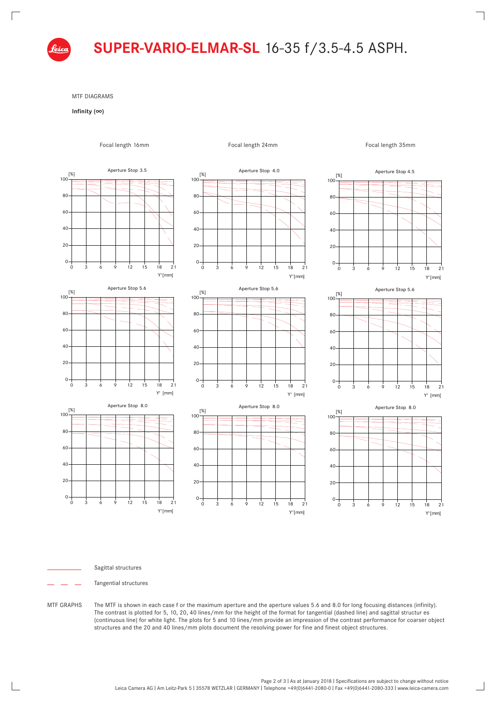

MTF DIAGRAMS

## **Infinity (∞)**

 $\sqrt{ }$ 



MTF GRAPHS The MTF is shown in each case f or the maximum aperture and the aperture values 5.6 and 8.0 for long focusing distances (infinity).

structures and the 20 and 40 lines/mm plots document the resolving power for fine and finest object structures.

The contrast is plotted for 5, 10, 20, 40 lines/mm for the height of the format for tangential (dashed line) and sagittal structur es (continuous line) for white light. The plots for 5 and 10 lines/mm provide an impression of the contrast performance for coarser object

Focal length 16mm Brennweiter 34mm

Sagittal structures Tangential structures

> Page 2 of 3 | As at January 2018 | Specifications are subject to change without notice Leica Camera AG I Am Leitz-Park 5 I 35578 WETZLAR I GERMANY I Telephone +49(0)6441-2080-0 I Fax +49(0)6441-2080-333 I www.leica-camera.com

 $\overline{\phantom{0}}$